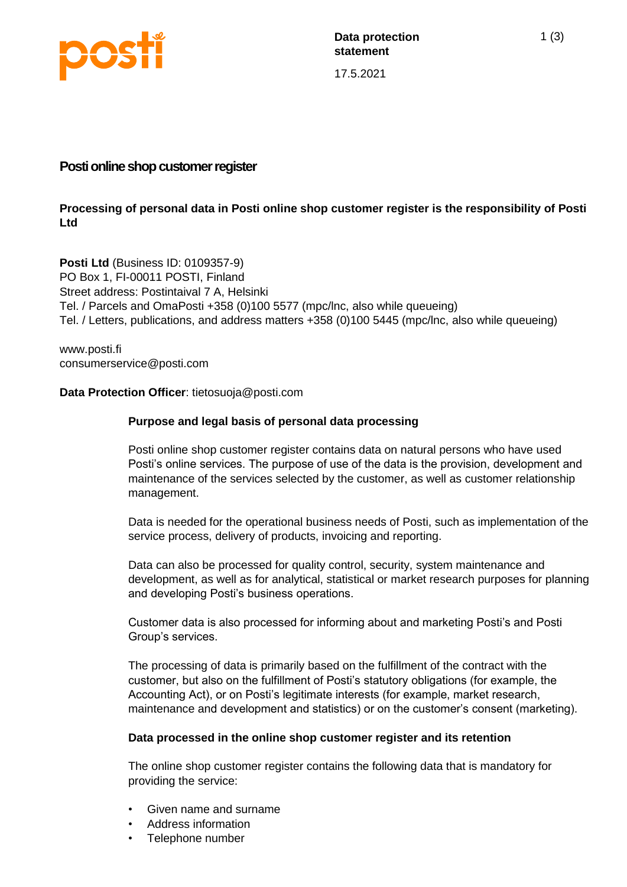

17.5.2021

# **Posti online shop customer register**

# **Processing of personal data in Posti online shop customer register is the responsibility of Posti Ltd**

**Posti Ltd** (Business ID: 0109357-9) PO Box 1, FI-00011 POSTI, Finland Street address: Postintaival 7 A, Helsinki Tel. / Parcels and OmaPosti +358 (0)100 5577 (mpc/lnc, also while queueing) Tel. / Letters, publications, and address matters +358 (0)100 5445 (mpc/lnc, also while queueing)

www.posti.fi consumerservice@posti.com

# **Data Protection Officer**: tietosuoja@posti.com

# **Purpose and legal basis of personal data processing**

Posti online shop customer register contains data on natural persons who have used Posti's online services. The purpose of use of the data is the provision, development and maintenance of the services selected by the customer, as well as customer relationship management.

Data is needed for the operational business needs of Posti, such as implementation of the service process, delivery of products, invoicing and reporting.

Data can also be processed for quality control, security, system maintenance and development, as well as for analytical, statistical or market research purposes for planning and developing Posti's business operations.

Customer data is also processed for informing about and marketing Posti's and Posti Group's services.

The processing of data is primarily based on the fulfillment of the contract with the customer, but also on the fulfillment of Posti's statutory obligations (for example, the Accounting Act), or on Posti's legitimate interests (for example, market research, maintenance and development and statistics) or on the customer's consent (marketing).

#### **Data processed in the online shop customer register and its retention**

The online shop customer register contains the following data that is mandatory for providing the service:

- Given name and surname
- Address information
- Telephone number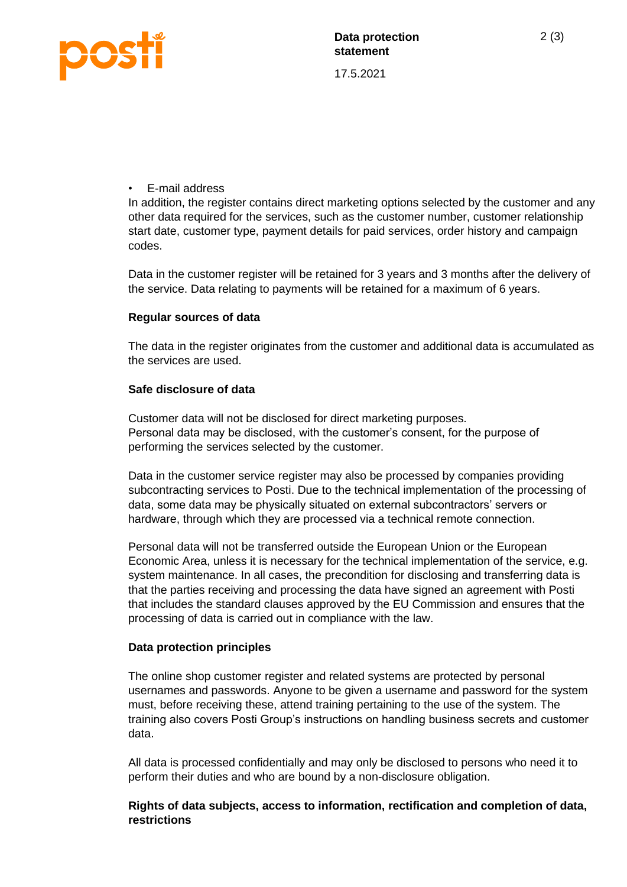

17.5.2021

# • E-mail address

In addition, the register contains direct marketing options selected by the customer and any other data required for the services, such as the customer number, customer relationship start date, customer type, payment details for paid services, order history and campaign codes.

Data in the customer register will be retained for 3 years and 3 months after the delivery of the service. Data relating to payments will be retained for a maximum of 6 years.

# **Regular sources of data**

The data in the register originates from the customer and additional data is accumulated as the services are used.

# **Safe disclosure of data**

Customer data will not be disclosed for direct marketing purposes. Personal data may be disclosed, with the customer's consent, for the purpose of performing the services selected by the customer.

Data in the customer service register may also be processed by companies providing subcontracting services to Posti. Due to the technical implementation of the processing of data, some data may be physically situated on external subcontractors' servers or hardware, through which they are processed via a technical remote connection.

Personal data will not be transferred outside the European Union or the European Economic Area, unless it is necessary for the technical implementation of the service, e.g. system maintenance. In all cases, the precondition for disclosing and transferring data is that the parties receiving and processing the data have signed an agreement with Posti that includes the standard clauses approved by the EU Commission and ensures that the processing of data is carried out in compliance with the law.

# **Data protection principles**

The online shop customer register and related systems are protected by personal usernames and passwords. Anyone to be given a username and password for the system must, before receiving these, attend training pertaining to the use of the system. The training also covers Posti Group's instructions on handling business secrets and customer data.

All data is processed confidentially and may only be disclosed to persons who need it to perform their duties and who are bound by a non-disclosure obligation.

# **Rights of data subjects, access to information, rectification and completion of data, restrictions**